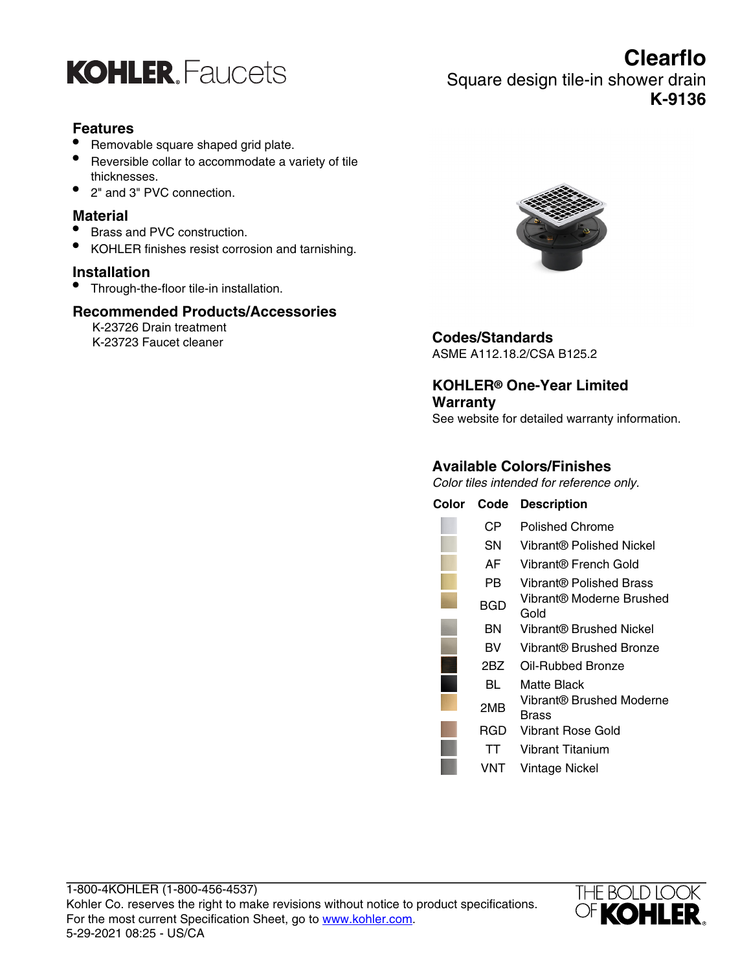

#### **Features**

- Removable square shaped grid plate.
- Reversible collar to accommodate a variety of tile thicknesses.
- 2" and 3" PVC connection

#### **Material**

- Brass and PVC construction.
- KOHLER finishes resist corrosion and tarnishing.

#### **Installation**

• Through-the-floor tile-in installation.

#### **Recommended Products/Accessories**

K-23726 Drain treatment K-23723 Faucet cleaner **Codes/Standards**



ASME A112.18.2/CSA B125.2

**KOHLER® One-Year Limited Warranty**

See website for detailed warranty information.

#### **Available Colors/Finishes**

Color tiles intended for reference only.

| Color | Code | <b>Description</b>                |
|-------|------|-----------------------------------|
|       | CР   | Polished Chrome                   |
|       | SΝ   | Vibrant® Polished Nickel          |
|       | AFI  | Vibrant® French Gold              |
|       | PB   | Vibrant® Polished Brass           |
|       | BGD  | Vibrant® Moderne Brushed<br>Gold  |
|       | ΒN   | Vibrant® Brushed Nickel           |
|       | BV   | Vibrant® Brushed Bronze           |
|       | 2BZ  | Oil-Rubbed Bronze                 |
|       | BL   | Matte Black                       |
|       | 2MB  | Vibrant® Brushed Moderne<br>Brass |
|       | RGD  | Vibrant Rose Gold                 |
|       | TT   | Vibrant Titanium                  |
|       | VNT  | Vintage Nickel                    |



# **Clearflo**

Square design tile-in shower drain **K-9136**